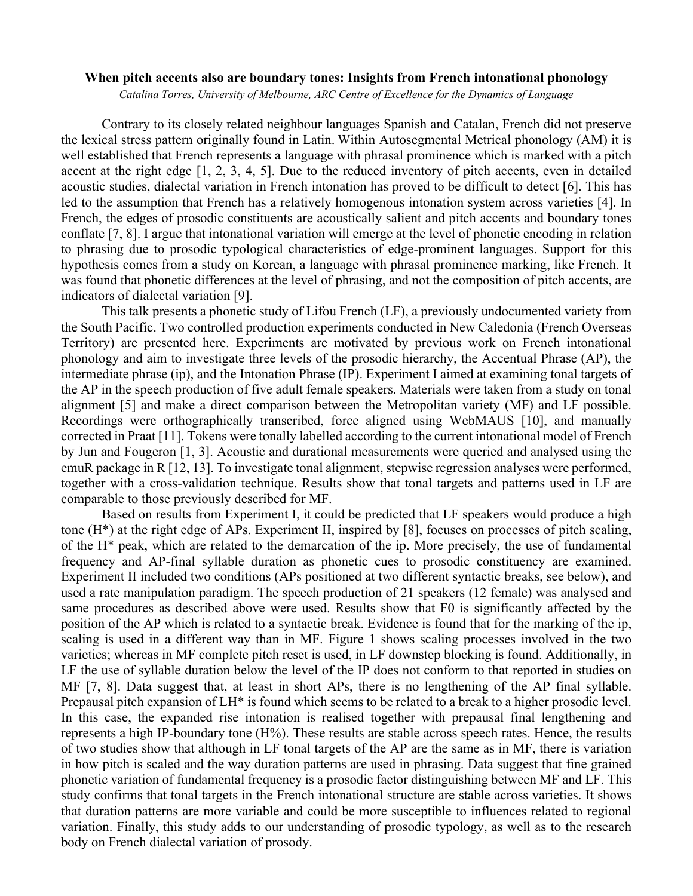## **When pitch accents also are boundary tones: Insights from French intonational phonology**

*Catalina Torres, University of Melbourne, ARC Centre of Excellence for the Dynamics of Language*

Contrary to its closely related neighbour languages Spanish and Catalan, French did not preserve the lexical stress pattern originally found in Latin. Within Autosegmental Metrical phonology (AM) it is well established that French represents a language with phrasal prominence which is marked with a pitch accent at the right edge [1, 2, 3, 4, 5]. Due to the reduced inventory of pitch accents, even in detailed acoustic studies, dialectal variation in French intonation has proved to be difficult to detect [6]. This has led to the assumption that French has a relatively homogenous intonation system across varieties [4]. In French, the edges of prosodic constituents are acoustically salient and pitch accents and boundary tones conflate [7, 8]. I argue that intonational variation will emerge at the level of phonetic encoding in relation to phrasing due to prosodic typological characteristics of edge-prominent languages. Support for this hypothesis comes from a study on Korean, a language with phrasal prominence marking, like French. It was found that phonetic differences at the level of phrasing, and not the composition of pitch accents, are indicators of dialectal variation [9].

This talk presents a phonetic study of Lifou French (LF), a previously undocumented variety from the South Pacific. Two controlled production experiments conducted in New Caledonia (French Overseas Territory) are presented here. Experiments are motivated by previous work on French intonational phonology and aim to investigate three levels of the prosodic hierarchy, the Accentual Phrase (AP), the intermediate phrase (ip), and the Intonation Phrase (IP). Experiment I aimed at examining tonal targets of the AP in the speech production of five adult female speakers. Materials were taken from a study on tonal alignment [5] and make a direct comparison between the Metropolitan variety (MF) and LF possible. Recordings were orthographically transcribed, force aligned using WebMAUS [10], and manually corrected in Praat [11]. Tokens were tonally labelled according to the current intonational model of French by Jun and Fougeron [1, 3]. Acoustic and durational measurements were queried and analysed using the emuR package in R [12, 13]. To investigate tonal alignment, stepwise regression analyses were performed, together with a cross-validation technique. Results show that tonal targets and patterns used in LF are comparable to those previously described for MF.

Based on results from Experiment I, it could be predicted that LF speakers would produce a high tone (H\*) at the right edge of APs. Experiment II, inspired by [8], focuses on processes of pitch scaling, of the H\* peak, which are related to the demarcation of the ip. More precisely, the use of fundamental frequency and AP-final syllable duration as phonetic cues to prosodic constituency are examined. Experiment II included two conditions (APs positioned at two different syntactic breaks, see below), and used a rate manipulation paradigm. The speech production of 21 speakers (12 female) was analysed and same procedures as described above were used. Results show that F0 is significantly affected by the position of the AP which is related to a syntactic break. Evidence is found that for the marking of the ip, scaling is used in a different way than in MF. Figure 1 shows scaling processes involved in the two varieties; whereas in MF complete pitch reset is used, in LF downstep blocking is found. Additionally, in LF the use of syllable duration below the level of the IP does not conform to that reported in studies on MF [7, 8]. Data suggest that, at least in short APs, there is no lengthening of the AP final syllable. Prepausal pitch expansion of LH\* is found which seems to be related to a break to a higher prosodic level. In this case, the expanded rise intonation is realised together with prepausal final lengthening and represents a high IP-boundary tone (H%). These results are stable across speech rates. Hence, the results of two studies show that although in LF tonal targets of the AP are the same as in MF, there is variation in how pitch is scaled and the way duration patterns are used in phrasing. Data suggest that fine grained phonetic variation of fundamental frequency is a prosodic factor distinguishing between MF and LF. This study confirms that tonal targets in the French intonational structure are stable across varieties. It shows that duration patterns are more variable and could be more susceptible to influences related to regional variation. Finally, this study adds to our understanding of prosodic typology, as well as to the research body on French dialectal variation of prosody.